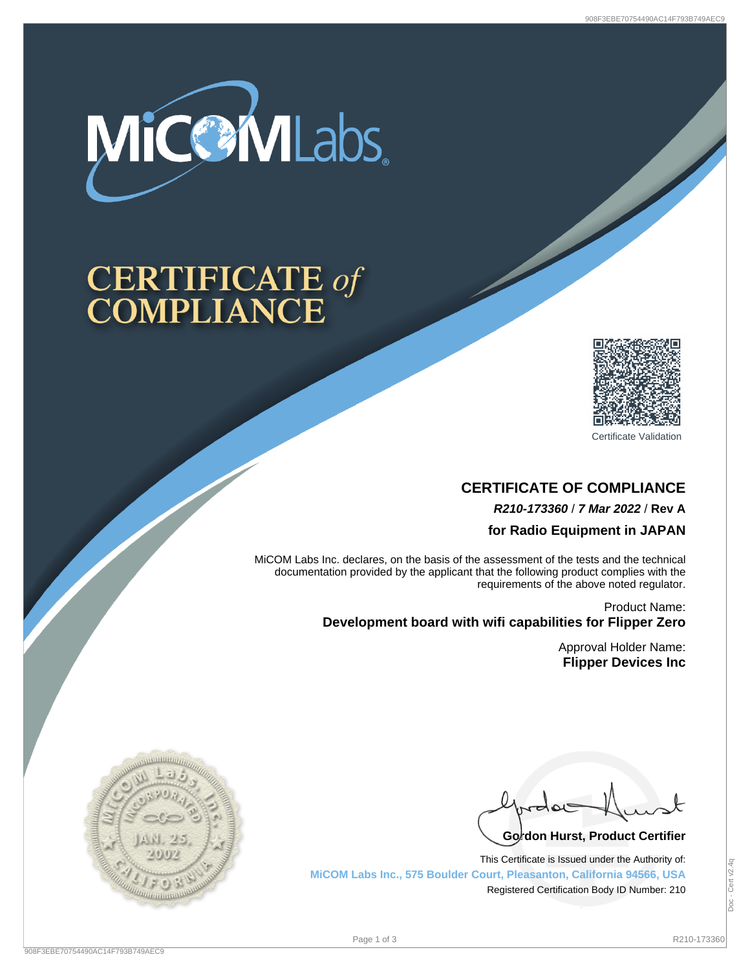

# **CERTIFICATE of<br>COMPLIANCE**



Certificate Validation

## **CERTIFICATE OF COMPLIANCE R210-173360** / **7 Mar 2022** / **Rev A**

**for Radio Equipment in JAPAN**

MiCOM Labs Inc. declares, on the basis of the assessment of the tests and the technical documentation provided by the applicant that the following product complies with the requirements of the above noted regulator.

> Product Name: **Development board with wifi capabilities for Flipper Zero**

> > Approval Holder Name: **Flipper Devices Inc**

Go<sup>l</sup>don Hurst, Product Certifier

This Certificate is Issued under the Authority of: **MiCOM Labs Inc., 575 Boulder Court, Pleasanton, California 94566, USA** Registered Certification Body ID Number: 210

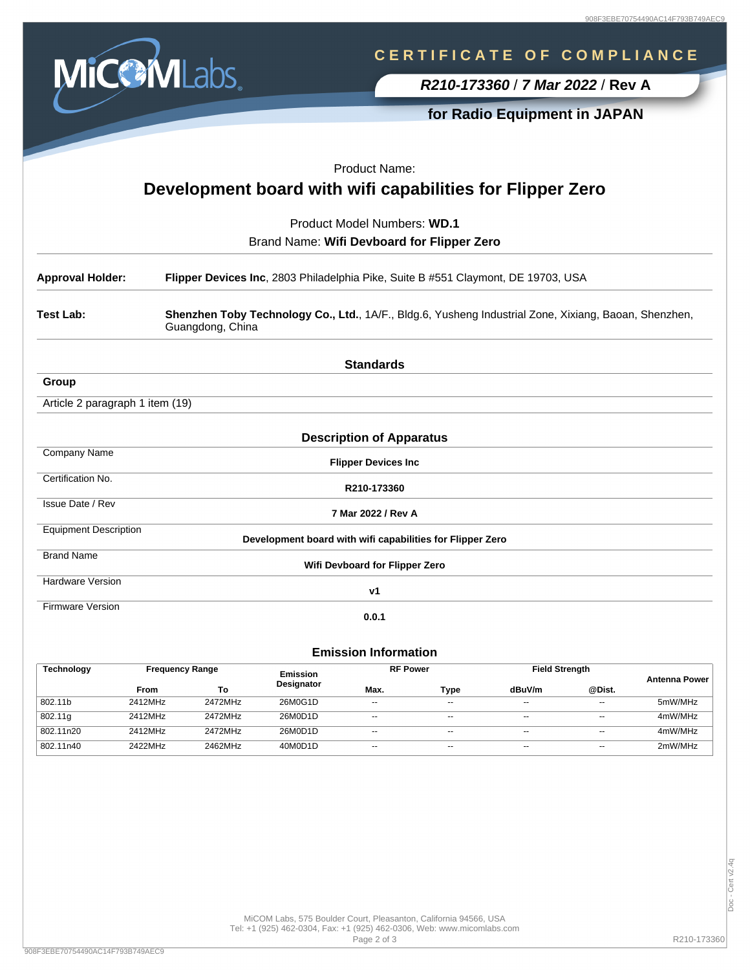

## **C E R T I F I C A T E O F C O M P L I A N C E**

**R210-173360** / **7 Mar 2022** / **Rev A**

**for Radio Equipment in JAPAN**

|                                            | Product Name:                                                                                                             |  |  |  |  |
|--------------------------------------------|---------------------------------------------------------------------------------------------------------------------------|--|--|--|--|
|                                            | Development board with wifi capabilities for Flipper Zero                                                                 |  |  |  |  |
|                                            | Product Model Numbers: WD.1                                                                                               |  |  |  |  |
| Brand Name: Wifi Devboard for Flipper Zero |                                                                                                                           |  |  |  |  |
| <b>Approval Holder:</b>                    | Flipper Devices Inc, 2803 Philadelphia Pike, Suite B #551 Claymont, DE 19703, USA                                         |  |  |  |  |
| <b>Test Lab:</b>                           | Shenzhen Toby Technology Co., Ltd., 1A/F., Bldg.6, Yusheng Industrial Zone, Xixiang, Baoan, Shenzhen,<br>Guangdong, China |  |  |  |  |
|                                            | <b>Standards</b>                                                                                                          |  |  |  |  |
| Group                                      |                                                                                                                           |  |  |  |  |
| Article 2 paragraph 1 item (19)            |                                                                                                                           |  |  |  |  |
|                                            | <b>Description of Apparatus</b>                                                                                           |  |  |  |  |
| <b>Company Name</b>                        | <b>Flipper Devices Inc</b>                                                                                                |  |  |  |  |
| Certification No.                          | R210-173360                                                                                                               |  |  |  |  |
| <b>Issue Date / Rev</b>                    | 7 Mar 2022 / Rev A                                                                                                        |  |  |  |  |
| <b>Equipment Description</b>               | Development board with wifi capabilities for Flipper Zero                                                                 |  |  |  |  |
| <b>Brand Name</b>                          | Wifi Devboard for Flipper Zero                                                                                            |  |  |  |  |
| <b>Hardware Version</b>                    | v1                                                                                                                        |  |  |  |  |
| <b>Firmware Version</b>                    | 0.0.1                                                                                                                     |  |  |  |  |
|                                            |                                                                                                                           |  |  |  |  |

#### **Emission Information**

| <b>Technology</b> |         | <b>Frequency Range</b> |                   | <b>RF Power</b>          |                          | <b>Field Strength</b> |                          | <b>Antenna Power</b> |
|-------------------|---------|------------------------|-------------------|--------------------------|--------------------------|-----------------------|--------------------------|----------------------|
|                   | From    | То                     | <b>Designator</b> | Max.                     | Type                     | dBuV/m                | @Dist.                   |                      |
| 802.11b           | 2412MHz | 2472MHz                | 26M0G1D           | $- -$                    | $\overline{\phantom{a}}$ | $- -$                 | $- -$                    | 5mW/MHz              |
| 802.11g           | 2412MHz | 2472MHz                | 26M0D1D           | $- -$                    | $\sim$ $\sim$            | $- -$                 | $- -$                    | 4mW/MHz              |
| 802.11n20         | 2412MHz | 2472MHz                | 26M0D1D           | $- -$                    | $-$                      | $- -$                 | $- -$                    | 4mW/MHz              |
| 802.11n40         | 2422MHz | 2462MHz                | 40M0D1D           | $\overline{\phantom{a}}$ | $-$                      | $- -$                 | $\overline{\phantom{a}}$ | 2mW/MHz              |

MiCOM Labs, 575 Boulder Court, Pleasanton, California 94566, USA Tel: +1 (925) 462-0304, Fax: +1 (925) 462-0306, Web: www.micomlabs.com Page 2 of 3 R210-173360